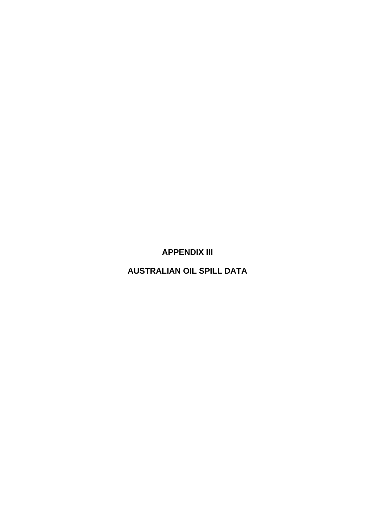**APPENDIX III** 

**AUSTRALIAN OIL SPILL DATA**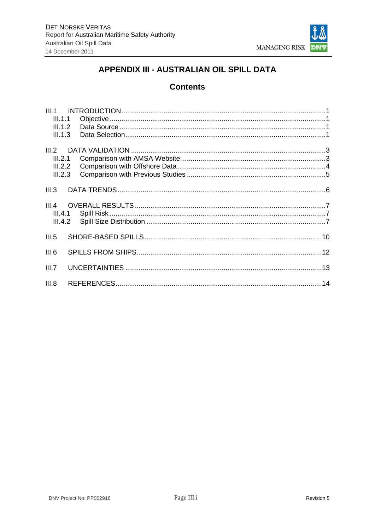

# APPENDIX III - AUSTRALIAN OIL SPILL DATA

## **Contents**

| III.1.1            |  |  |
|--------------------|--|--|
| III.1.2<br>III.1.3 |  |  |
| III.2              |  |  |
| III.2.1            |  |  |
| III.2.2            |  |  |
| III.2.3            |  |  |
| III.3              |  |  |
|                    |  |  |
| III.5              |  |  |
| III.6              |  |  |
| III.7              |  |  |
| III.8              |  |  |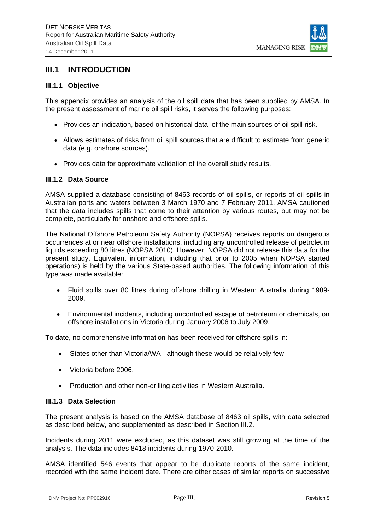

### **III.1 INTRODUCTION**

### **III.1.1 Objective**

This appendix provides an analysis of the oil spill data that has been supplied by AMSA. In the present assessment of marine oil spill risks, it serves the following purposes:

- Provides an indication, based on historical data, of the main sources of oil spill risk.
- Allows estimates of risks from oil spill sources that are difficult to estimate from generic data (e.g. onshore sources).
- Provides data for approximate validation of the overall study results.

#### **III.1.2 Data Source**

AMSA supplied a database consisting of 8463 records of oil spills, or reports of oil spills in Australian ports and waters between 3 March 1970 and 7 February 2011. AMSA cautioned that the data includes spills that come to their attention by various routes, but may not be complete, particularly for onshore and offshore spills.

The National Offshore Petroleum Safety Authority (NOPSA) receives reports on dangerous occurrences at or near offshore installations, including any uncontrolled release of petroleum liquids exceeding 80 litres (NOPSA 2010). However, NOPSA did not release this data for the present study. Equivalent information, including that prior to 2005 when NOPSA started operations) is held by the various State-based authorities. The following information of this type was made available:

- Fluid spills over 80 litres during offshore drilling in Western Australia during 1989- 2009.
- Environmental incidents, including uncontrolled escape of petroleum or chemicals, on offshore installations in Victoria during January 2006 to July 2009.

To date, no comprehensive information has been received for offshore spills in:

- States other than Victoria/WA although these would be relatively few.
- Victoria before 2006.
- Production and other non-drilling activities in Western Australia.

#### **III.1.3 Data Selection**

The present analysis is based on the AMSA database of 8463 oil spills, with data selected as described below, and supplemented as described in Section III.2.

Incidents during 2011 were excluded, as this dataset was still growing at the time of the analysis. The data includes 8418 incidents during 1970-2010.

AMSA identified 546 events that appear to be duplicate reports of the same incident, recorded with the same incident date. There are other cases of similar reports on successive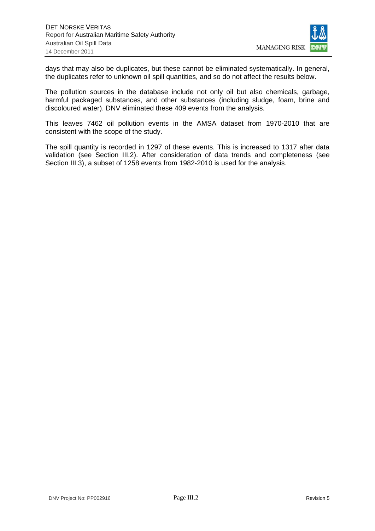

days that may also be duplicates, but these cannot be eliminated systematically. In general, the duplicates refer to unknown oil spill quantities, and so do not affect the results below.

The pollution sources in the database include not only oil but also chemicals, garbage, harmful packaged substances, and other substances (including sludge, foam, brine and discoloured water). DNV eliminated these 409 events from the analysis.

This leaves 7462 oil pollution events in the AMSA dataset from 1970-2010 that are consistent with the scope of the study.

The spill quantity is recorded in 1297 of these events. This is increased to 1317 after data validation (see Section III.2). After consideration of data trends and completeness (see Section III.3), a subset of 1258 events from 1982-2010 is used for the analysis.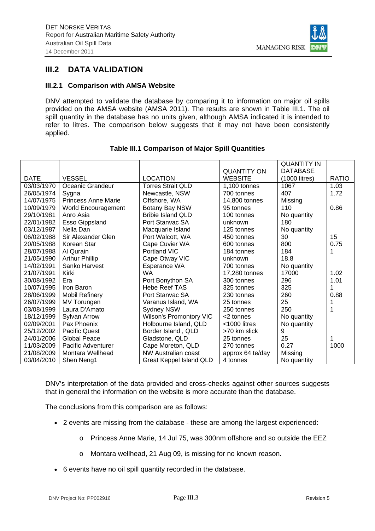

## **III.2 DATA VALIDATION**

### **III.2.1 Comparison with AMSA Website**

DNV attempted to validate the database by comparing it to information on major oil spills provided on the AMSA website (AMSA 2011). The results are shown in Table III.1. The oil spill quantity in the database has no units given, although AMSA indicated it is intended to refer to litres. The comparison below suggests that it may not have been consistently applied.

|             |                            |                                |                    | <b>QUANTITY IN</b> |              |
|-------------|----------------------------|--------------------------------|--------------------|--------------------|--------------|
|             |                            |                                | <b>QUANTITY ON</b> | <b>DATABASE</b>    |              |
| <b>DATE</b> | <b>VESSEL</b>              | <b>LOCATION</b>                | <b>WEBSITE</b>     | (1000 litres)      | <b>RATIO</b> |
| 03/03/1970  | Oceanic Grandeur           | <b>Torres Strait QLD</b>       | 1.100 tonnes       | 1067               | 1.03         |
| 26/05/1974  | Sygna                      | Newcastle, NSW                 | 700 tonnes         | 407                | 1.72         |
| 14/07/1975  | <b>Princess Anne Marie</b> | Offshore, WA                   | 14,800 tonnes      | Missing            |              |
| 10/09/1979  | World Encouragement        | Botany Bay NSW                 | 95 tonnes          | 110                | 0.86         |
| 29/10/1981  | Anro Asia                  | <b>Bribie Island QLD</b>       | 100 tonnes         | No quantity        |              |
| 22/01/1982  | Esso Gippsland             | Port Stanyac SA                | unknown            | 180                |              |
| 03/12/1987  | Nella Dan                  | Macquarie Island               | 125 tonnes         | No quantity        |              |
| 06/02/1988  | Sir Alexander Glen         | Port Walcott, WA               | 450 tonnes         | 30                 | 15           |
| 20/05/1988  | Korean Star                | Cape Cuvier WA                 | 600 tonnes         | 800                | 0.75         |
| 28/07/1988  | Al Qurain                  | Portland VIC                   | 184 tonnes         | 184                |              |
| 21/05/1990  | <b>Arthur Phillip</b>      | Cape Otway VIC                 | unknown            | 18.8               |              |
| 14/02/1991  | Sanko Harvest              | Esperance WA                   | 700 tonnes         | No quantity        |              |
| 21/07/1991  | Kirki                      | <b>WA</b>                      | 17,280 tonnes      | 17000              | 1.02         |
| 30/08/1992  | Era                        | Port Bonython SA               | 300 tonnes         | 296                | 1.01         |
| 10/07/1995  | Iron Baron                 | <b>Hebe Reef TAS</b>           | 325 tonnes         | 325                |              |
| 28/06/1999  | <b>Mobil Refinery</b>      | Port Stanyac SA                | 230 tonnes         | 260                | 0.88         |
| 26/07/1999  | MV Torungen                | Varanus Island, WA             | 25 tonnes          | 25                 |              |
| 03/08/1999  | Laura D'Amato              | <b>Sydney NSW</b>              | 250 tonnes         | 250                |              |
| 18/12/1999  | Sylvan Arrow               | <b>Wilson's Promontory VIC</b> | <2 tonnes          | No quantity        |              |
| 02/09/2001  | Pax Phoenix                | Holbourne Island, QLD          | $<$ 1000 litres    | No quantity        |              |
| 25/12/2002  | <b>Pacific Quest</b>       | Border Island, QLD             | >70 km slick       | 9                  |              |
| 24/01/2006  | <b>Global Peace</b>        | Gladstone, QLD                 | 25 tonnes          | 25                 |              |
| 11/03/2009  | Pacific Adventurer         | Cape Moreton, QLD              | 270 tonnes         | 0.27               | 1000         |
| 21/08/2009  | Montara Wellhead           | NW Australian coast            | approx 64 te/day   | Missing            |              |
| 03/04/2010  | Shen Neng1                 | Great Keppel Island QLD        | 4 tonnes           | No quantity        |              |

### **Table III.1 Comparison of Major Spill Quantities**

DNV's interpretation of the data provided and cross-checks against other sources suggests that in general the information on the website is more accurate than the database.

The conclusions from this comparison are as follows:

- 2 events are missing from the database these are among the largest experienced:
	- o Princess Anne Marie, 14 Jul 75, was 300nm offshore and so outside the EEZ
	- o Montara wellhead, 21 Aug 09, is missing for no known reason.
- 6 events have no oil spill quantity recorded in the database.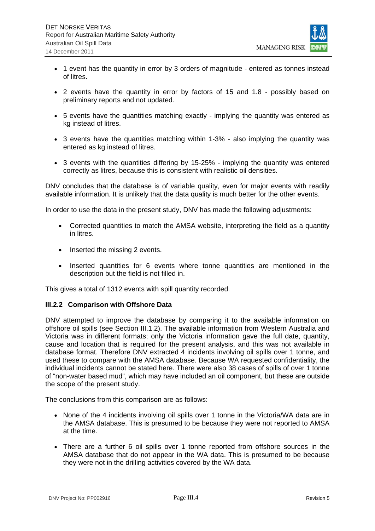

- 1 event has the quantity in error by 3 orders of magnitude entered as tonnes instead of litres.
- 2 events have the quantity in error by factors of 15 and 1.8 possibly based on preliminary reports and not updated.
- 5 events have the quantities matching exactly implying the quantity was entered as kg instead of litres.
- 3 events have the quantities matching within 1-3% also implying the quantity was entered as kg instead of litres.
- 3 events with the quantities differing by 15-25% implying the quantity was entered correctly as litres, because this is consistent with realistic oil densities.

DNV concludes that the database is of variable quality, even for major events with readily available information. It is unlikely that the data quality is much better for the other events.

In order to use the data in the present study, DNV has made the following adjustments:

- Corrected quantities to match the AMSA website, interpreting the field as a quantity in litres.
- Inserted the missing 2 events.
- Inserted quantities for 6 events where tonne quantities are mentioned in the description but the field is not filled in.

This gives a total of 1312 events with spill quantity recorded.

#### **III.2.2 Comparison with Offshore Data**

DNV attempted to improve the database by comparing it to the available information on offshore oil spills (see Section III.1.2). The available information from Western Australia and Victoria was in different formats; only the Victoria information gave the full date, quantity, cause and location that is required for the present analysis, and this was not available in database format. Therefore DNV extracted 4 incidents involving oil spills over 1 tonne, and used these to compare with the AMSA database. Because WA requested confidentiality, the individual incidents cannot be stated here. There were also 38 cases of spills of over 1 tonne of "non-water based mud", which may have included an oil component, but these are outside the scope of the present study.

The conclusions from this comparison are as follows:

- None of the 4 incidents involving oil spills over 1 tonne in the Victoria/WA data are in the AMSA database. This is presumed to be because they were not reported to AMSA at the time.
- There are a further 6 oil spills over 1 tonne reported from offshore sources in the AMSA database that do not appear in the WA data. This is presumed to be because they were not in the drilling activities covered by the WA data.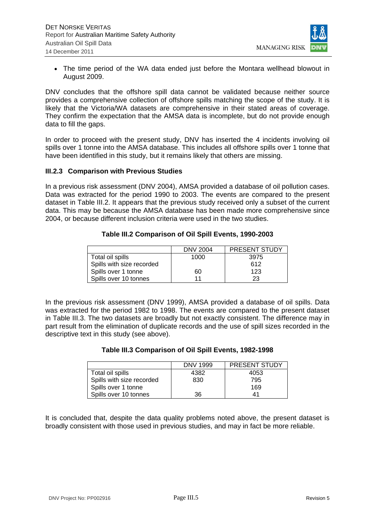

 The time period of the WA data ended just before the Montara wellhead blowout in August 2009.

DNV concludes that the offshore spill data cannot be validated because neither source provides a comprehensive collection of offshore spills matching the scope of the study. It is likely that the Victoria/WA datasets are comprehensive in their stated areas of coverage. They confirm the expectation that the AMSA data is incomplete, but do not provide enough data to fill the gaps.

In order to proceed with the present study, DNV has inserted the 4 incidents involving oil spills over 1 tonne into the AMSA database. This includes all offshore spills over 1 tonne that have been identified in this study, but it remains likely that others are missing.

### **III.2.3 Comparison with Previous Studies**

In a previous risk assessment (DNV 2004), AMSA provided a database of oil pollution cases. Data was extracted for the period 1990 to 2003. The events are compared to the present dataset in Table III.2. It appears that the previous study received only a subset of the current data. This may be because the AMSA database has been made more comprehensive since 2004, or because different inclusion criteria were used in the two studies.

### **Table III.2 Comparison of Oil Spill Events, 1990-2003**

|                           | <b>DNV 2004</b> | <b>PRESENT STUDY</b> |
|---------------------------|-----------------|----------------------|
| Total oil spills          | 1000            | 3975                 |
| Spills with size recorded |                 | 612                  |
| Spills over 1 tonne       | 60              | 123                  |
| Spills over 10 tonnes     | 11              | 23                   |

In the previous risk assessment (DNV 1999), AMSA provided a database of oil spills. Data was extracted for the period 1982 to 1998. The events are compared to the present dataset in Table III.3. The two datasets are broadly but not exactly consistent. The difference may in part result from the elimination of duplicate records and the use of spill sizes recorded in the descriptive text in this study (see above).

#### **Table III.3 Comparison of Oil Spill Events, 1982-1998**

|                           | DNV 1999 | <b>PRESENT STUDY</b> |
|---------------------------|----------|----------------------|
| Total oil spills          | 4382     | 4053                 |
| Spills with size recorded | 830      | 795                  |
| Spills over 1 tonne       |          | 169                  |
| Spills over 10 tonnes     | 36       |                      |

It is concluded that, despite the data quality problems noted above, the present dataset is broadly consistent with those used in previous studies, and may in fact be more reliable.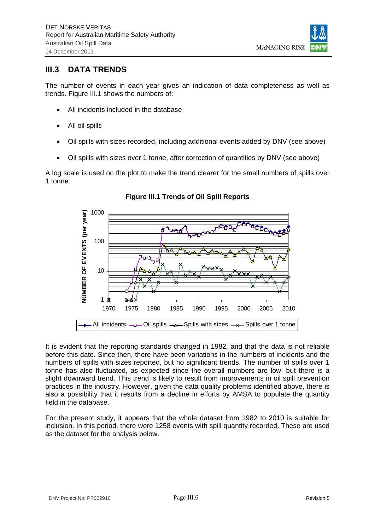

# **III.3 DATA TRENDS**

The number of events in each year gives an indication of data completeness as well as trends. Figure III.1 shows the numbers of:

- All incidents included in the database
- All oil spills
- Oil spills with sizes recorded, including additional events added by DNV (see above)
- Oil spills with sizes over 1 tonne, after correction of quantities by DNV (see above)

A log scale is used on the plot to make the trend clearer for the small numbers of spills over 1 tonne.



**Figure III.1 Trends of Oil Spill Reports** 

It is evident that the reporting standards changed in 1982, and that the data is not reliable before this date. Since then, there have been variations in the numbers of incidents and the numbers of spills with sizes reported, but no significant trends. The number of spills over 1 tonne has also fluctuated, as expected since the overall numbers are low, but there is a slight downward trend. This trend is likely to result from improvements in oil spill prevention practices in the industry. However, given the data quality problems identified above, there is also a possibility that it results from a decline in efforts by AMSA to populate the quantity field in the database.

For the present study, it appears that the whole dataset from 1982 to 2010 is suitable for inclusion. In this period, there were 1258 events with spill quantity recorded. These are used as the dataset for the analysis below.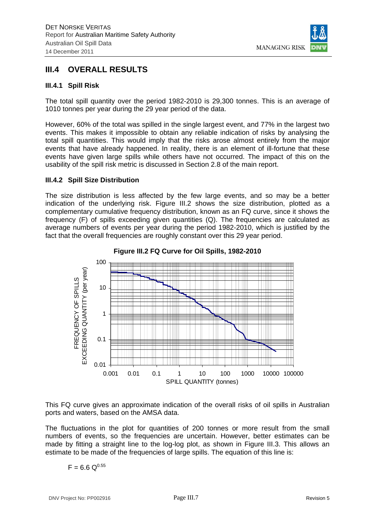

# **III.4 OVERALL RESULTS**

### **III.4.1 Spill Risk**

The total spill quantity over the period 1982-2010 is 29,300 tonnes. This is an average of 1010 tonnes per year during the 29 year period of the data.

However, 60% of the total was spilled in the single largest event, and 77% in the largest two events. This makes it impossible to obtain any reliable indication of risks by analysing the total spill quantities. This would imply that the risks arose almost entirely from the major events that have already happened. In reality, there is an element of ill-fortune that these events have given large spills while others have not occurred. The impact of this on the usability of the spill risk metric is discussed in Section 2.8 of the main report.

### **III.4.2 Spill Size Distribution**

The size distribution is less affected by the few large events, and so may be a better indication of the underlying risk. Figure III.2 shows the size distribution, plotted as a complementary cumulative frequency distribution, known as an FQ curve, since it shows the frequency (F) of spills exceeding given quantities (Q). The frequencies are calculated as average numbers of events per year during the period 1982-2010, which is justified by the fact that the overall frequencies are roughly constant over this 29 year period.



### **Figure III.2 FQ Curve for Oil Spills, 1982-2010**

This FQ curve gives an approximate indication of the overall risks of oil spills in Australian ports and waters, based on the AMSA data.

The fluctuations in the plot for quantities of 200 tonnes or more result from the small numbers of events, so the frequencies are uncertain. However, better estimates can be made by fitting a straight line to the log-log plot, as shown in Figure III.3. This allows an estimate to be made of the frequencies of large spills. The equation of this line is:

$$
F = 6.6 \; \mathrm{Q}^{0.55}
$$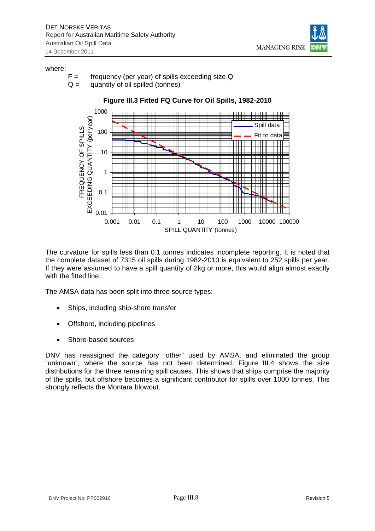

#### where:

- $F =$  frequency (per year) of spills exceeding size Q
- $Q =$  quantity of oil spilled (tonnes)



The curvature for spills less than 0.1 tonnes indicates incomplete reporting. It is noted that the complete dataset of 7315 oil spills during 1982-2010 is equivalent to 252 spills per year. If they were assumed to have a spill quantity of 2kg or more, this would align almost exactly with the fitted line.

The AMSA data has been split into three source types:

- Ships, including ship-shore transfer
- Offshore, including pipelines
- Shore-based sources

DNV has reassigned the category "other" used by AMSA, and eliminated the group "unknown", where the source has not been determined. Figure III.4 shows the size distributions for the three remaining spill causes. This shows that ships comprise the majority of the spills, but offshore becomes a significant contributor for spills over 1000 tonnes. This strongly reflects the Montara blowout.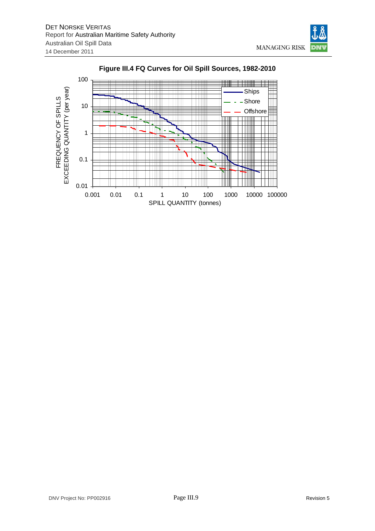



### **Figure III.4 FQ Curves for Oil Spill Sources, 1982-2010**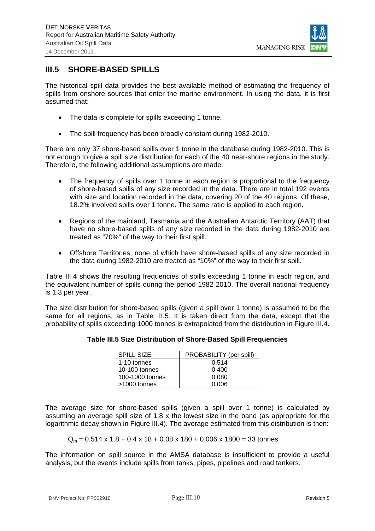

# **III.5 SHORE-BASED SPILLS**

The historical spill data provides the best available method of estimating the frequency of spills from onshore sources that enter the marine environment. In using the data, it is first assumed that:

- The data is complete for spills exceeding 1 tonne.
- The spill frequency has been broadly constant during 1982-2010.

There are only 37 shore-based spills over 1 tonne in the database during 1982-2010. This is not enough to give a spill size distribution for each of the 40 near-shore regions in the study. Therefore, the following additional assumptions are made:

- The frequency of spills over 1 tonne in each region is proportional to the frequency of shore-based spills of any size recorded in the data. There are in total 192 events with size and location recorded in the data, covering 20 of the 40 regions. Of these, 18.2% involved spills over 1 tonne. The same ratio is applied to each region.
- Regions of the mainland, Tasmania and the Australian Antarctic Territory (AAT) that have no shore-based spills of any size recorded in the data during 1982-2010 are treated as "70%" of the way to their first spill.
- Offshore Territories, none of which have shore-based spills of any size recorded in the data during 1982-2010 are treated as "10%" of the way to their first spill.

Table III.4 shows the resulting frequencies of spills exceeding 1 tonne in each region, and the equivalent number of spills during the period 1982-2010. The overall national frequency is 1.3 per year.

The size distribution for shore-based spills (given a spill over 1 tonne) is assumed to be the same for all regions, as in Table III.5. It is taken direct from the data, except that the probability of spills exceeding 1000 tonnes is extrapolated from the distribution in Figure III.4.

| Table III.5 Size Distribution of Shore-Based Spill Frequencies |  |
|----------------------------------------------------------------|--|
|----------------------------------------------------------------|--|

| SPILL SIZE      | PROBABILITY (per spill) |
|-----------------|-------------------------|
| 1-10 tonnes     | 0.514                   |
| 10-100 tonnes   | 0.400                   |
| 100-1000 tonnes | 0.080                   |
| $>1000$ tonnes  | 0.006                   |

The average size for shore-based spills (given a spill over 1 tonne) is calculated by assuming an average spill size of 1.8 x the lowest size in the band (as appropriate for the logarithmic decay shown in Figure III.4). The average estimated from this distribution is then:

$$
Q_m = 0.514 \times 1.8 + 0.4 \times 18 + 0.08 \times 180 + 0.006 \times 1800 = 33 \text{ tonnes}
$$

The information on spill source in the AMSA database is insufficient to provide a useful analysis, but the events include spills from tanks, pipes, pipelines and road tankers.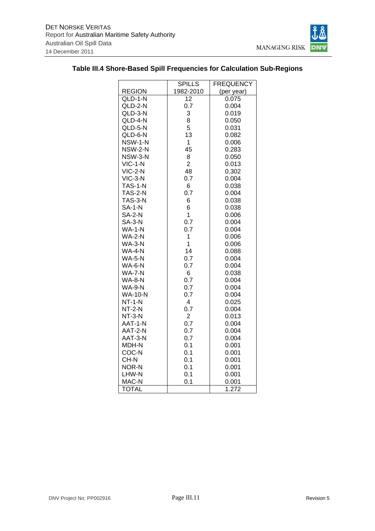

|                      | <b>SPILLS</b>  | <b>FREQUENCY</b> |  |  |
|----------------------|----------------|------------------|--|--|
| <b>REGION</b>        | 1982-2010      | (per year)       |  |  |
| $QLD-1-\overline{N}$ | 12             | 0.075            |  |  |
| QLD-2-N              | 0.7            | 0.004            |  |  |
| QLD-3-N              | 3              | 0.019            |  |  |
| QLD-4-N              | 8              | 0.050            |  |  |
| QLD-5-N              | 5              | 0.031            |  |  |
| QLD-6-N              | 13             | 0.082            |  |  |
| NSW-1-N              | $\mathbf 1$    | 0.006            |  |  |
| NSW-2-N              | 45             | 0.283            |  |  |
| NSW-3-N              | 8              | 0.050            |  |  |
| $VIC-1-N$            | $\overline{2}$ | 0.013            |  |  |
| $VIC-2-N$            | 48             | 0.302            |  |  |
| $VIC-3-N$            | 0.7            | 0.004            |  |  |
| <b>TAS-1-N</b>       | 6              | 0.038            |  |  |
| <b>TAS-2-N</b>       | 0.7            | 0.004            |  |  |
| <b>TAS-3-N</b>       | 6              | 0.038            |  |  |
| SA-1-N               | 6              | 0.038            |  |  |
| <b>SA-2-N</b>        | $\overline{1}$ | 0.006            |  |  |
| <b>SA-3-N</b>        | 0.7            | 0.004            |  |  |
| $WA-1-N$             | 0.7            | 0.004            |  |  |
| <b>WA-2-N</b>        | $\mathbf{1}$   | 0.006            |  |  |
| <b>WA-3-N</b>        | $\overline{1}$ | 0.006            |  |  |
| WA-4-N               | 14             | 0.088            |  |  |
| <b>WA-5-N</b>        | 0.7            | 0.004            |  |  |
| <b>WA-6-N</b>        | 0.7            | 0.004            |  |  |
| <b>WA-7-N</b>        | 6              | 0.038            |  |  |
| <b>WA-8-N</b>        | 0.7            | 0.004            |  |  |
| <b>WA-9-N</b>        | 0.7            | 0.004            |  |  |
| <b>WA-10-N</b>       | 0.7            | 0.004            |  |  |
| $NT-1-N$             | $\overline{4}$ | 0.025            |  |  |
| $NT-2-N$             | 0.7            | 0.004            |  |  |
| $NT-3-N$             | $\overline{2}$ | 0.013            |  |  |
| AAT-1-N              | 0.7            | 0.004            |  |  |
| AAT-2-N              | 0.7            | 0.004            |  |  |
| AAT-3-N              | 0.7            | 0.004            |  |  |
| MDH-N                | 0.1            | 0.001            |  |  |
| COC-N                | 0.1            | 0.001            |  |  |
| CH-N                 | 0.1            | 0.001            |  |  |
| NOR-N                | 0.1            | 0.001            |  |  |
| LHW-N                | 0.1            | 0.001            |  |  |
| MAC-N                | 0.1            | 0.001            |  |  |
| TOTAL                |                | 1.272            |  |  |

### **Table III.4 Shore-Based Spill Frequencies for Calculation Sub-Regions**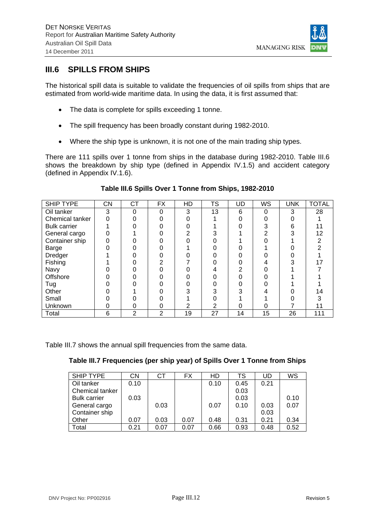

## **III.6 SPILLS FROM SHIPS**

The historical spill data is suitable to validate the frequencies of oil spills from ships that are estimated from world-wide maritime data. In using the data, it is first assumed that:

- The data is complete for spills exceeding 1 tonne.
- The spill frequency has been broadly constant during 1982-2010.
- Where the ship type is unknown, it is not one of the main trading ship types.

There are 111 spills over 1 tonne from ships in the database during 1982-2010. Table III.6 shows the breakdown by ship type (defined in Appendix IV.1.5) and accident category (defined in Appendix IV.1.6).

| SHIP TYPE           | <b>CN</b> | <b>CT</b>      | <b>FX</b>      | HD | TS | <b>UD</b> | WS       | <b>UNK</b> | <b>TOTAL</b> |
|---------------------|-----------|----------------|----------------|----|----|-----------|----------|------------|--------------|
| Oil tanker          | 3         | 0              | 0              | 3  | 13 | 6         | $\Omega$ | 3          | 28           |
| Chemical tanker     |           |                |                |    |    |           |          |            |              |
| <b>Bulk carrier</b> |           |                |                |    |    |           |          | 6          |              |
| General cargo       |           |                |                |    |    |           |          | ົ          | 12           |
| Container ship      |           |                |                |    |    |           |          |            |              |
| Barge               |           |                |                |    |    |           |          |            |              |
| Dredger             |           |                |                |    |    |           |          |            |              |
| Fishing             |           |                |                |    |    |           |          |            |              |
| Navy                |           |                |                |    |    |           |          |            |              |
| Offshore            |           |                |                |    |    |           |          |            |              |
| Tug                 |           |                |                |    |    |           |          |            |              |
| Other               |           |                |                |    |    |           |          |            | 14           |
| Small               |           |                |                |    |    |           |          |            |              |
| <b>Unknown</b>      |           |                |                |    | 2  |           |          |            |              |
| Total               | 6         | $\overline{2}$ | $\overline{2}$ | 19 | 27 | 14        | 15       | 26         | 111          |

### **Table III.6 Spills Over 1 Tonne from Ships, 1982-2010**

Table III.7 shows the annual spill frequencies from the same data.

| Table III.7 Frequencies (per ship year) of Spills Over 1 Tonne from Ships |  |  |  |
|---------------------------------------------------------------------------|--|--|--|
|---------------------------------------------------------------------------|--|--|--|

| SHIP TYPE           | CΝ   | СT   | FX   | HD   | TS   | UD   | WS   |
|---------------------|------|------|------|------|------|------|------|
| Oil tanker          | 0.10 |      |      | 0.10 | 0.45 | 0.21 |      |
| Chemical tanker     |      |      |      |      | 0.03 |      |      |
| <b>Bulk carrier</b> | 0.03 |      |      |      | 0.03 |      | 0.10 |
| General cargo       |      | 0.03 |      | 0.07 | 0.10 | 0.03 | 0.07 |
| Container ship      |      |      |      |      |      | 0.03 |      |
| Other               | 0.07 | 0.03 | 0.07 | 0.48 | 0.31 | 0.21 | 0.34 |
| Total               | 0.21 | 0.07 | 0.07 | 0.66 | 0.93 | 0.48 | 0.52 |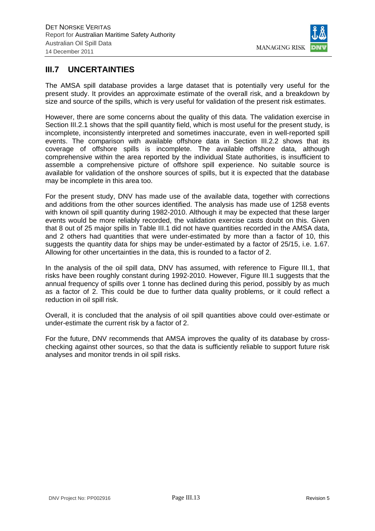

# **III.7 UNCERTAINTIES**

The AMSA spill database provides a large dataset that is potentially very useful for the present study. It provides an approximate estimate of the overall risk, and a breakdown by size and source of the spills, which is very useful for validation of the present risk estimates.

However, there are some concerns about the quality of this data. The validation exercise in Section III.2.1 shows that the spill quantity field, which is most useful for the present study, is incomplete, inconsistently interpreted and sometimes inaccurate, even in well-reported spill events. The comparison with available offshore data in Section III.2.2 shows that its coverage of offshore spills is incomplete. The available offshore data, although comprehensive within the area reported by the individual State authorities, is insufficient to assemble a comprehensive picture of offshore spill experience. No suitable source is available for validation of the onshore sources of spills, but it is expected that the database may be incomplete in this area too.

For the present study, DNV has made use of the available data, together with corrections and additions from the other sources identified. The analysis has made use of 1258 events with known oil spill quantity during 1982-2010. Although it may be expected that these larger events would be more reliably recorded, the validation exercise casts doubt on this. Given that 8 out of 25 major spills in Table III.1 did not have quantities recorded in the AMSA data, and 2 others had quantities that were under-estimated by more than a factor of 10, this suggests the quantity data for ships may be under-estimated by a factor of 25/15, i.e. 1.67. Allowing for other uncertainties in the data, this is rounded to a factor of 2.

In the analysis of the oil spill data, DNV has assumed, with reference to Figure III.1, that risks have been roughly constant during 1992-2010. However, Figure III.1 suggests that the annual frequency of spills over 1 tonne has declined during this period, possibly by as much as a factor of 2. This could be due to further data quality problems, or it could reflect a reduction in oil spill risk.

Overall, it is concluded that the analysis of oil spill quantities above could over-estimate or under-estimate the current risk by a factor of 2.

For the future, DNV recommends that AMSA improves the quality of its database by crosschecking against other sources, so that the data is sufficiently reliable to support future risk analyses and monitor trends in oil spill risks.